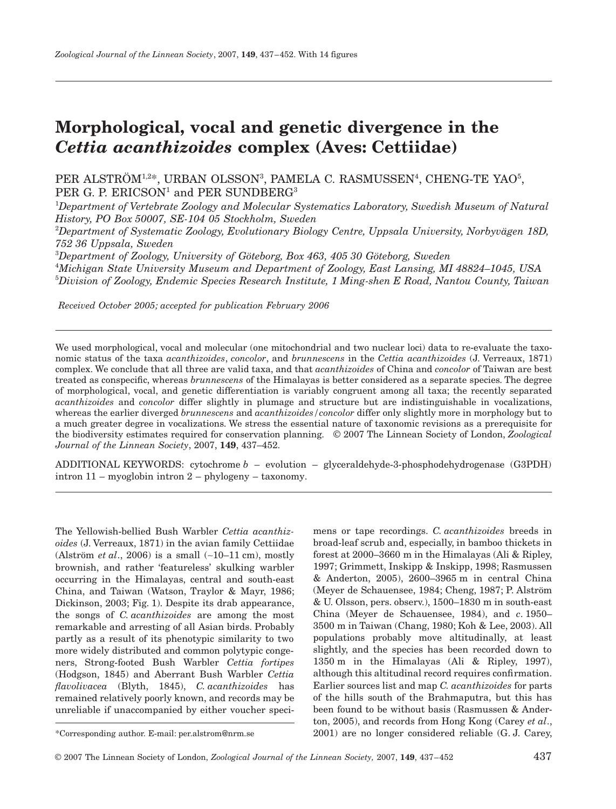# **Morphological, vocal and genetic divergence in the**  *Cettia acanthizoides* **complex (Aves: Cettiidae)**

PER ALSTRÖM<sup>1,2\*</sup>, URBAN OLSSON<sup>3</sup>, PAMELA C. RASMUSSEN<sup>4</sup>, CHENG-TE YAO<sup>5</sup>, PER G. P.  $ERICSON<sup>1</sup>$  and PER SUNDBERG<sup>3</sup>

<sup>1</sup>Department of Vertebrate Zoology and Molecular Systematics Laboratory, Swedish Museum of Natural *History, PO Box 50007, SE-104 05 Stockholm, Sweden* 

2 *Department of Systematic Zoology, Evolutionary Biology Centre, Uppsala University, Norbyvägen 18D, 752 36 Uppsala, Sweden* 

3 *Department of Zoology, University of Göteborg, Box 463, 405 30 Göteborg, Sweden* 

4 *Michigan State University Museum and Department of Zoology, East Lansing, MI 48824–1045, USA*  5 *Division of Zoology, Endemic Species Research Institute, 1 Ming-shen E Road, Nantou County, Taiwan*

*Received October 2005; accepted for publication February 2006*

We used morphological, vocal and molecular (one mitochondrial and two nuclear loci) data to re-evaluate the taxonomic status of the taxa *acanthizoides*, *concolor*, and *brunnescens* in the *Cettia acanthizoides* (J. Verreaux, 1871) complex. We conclude that all three are valid taxa, and that *acanthizoides* of China and *concolor* of Taiwan are best treated as conspecific, whereas *brunnescens* of the Himalayas is better considered as a separate species. The degree of morphological, vocal, and genetic differentiation is variably congruent among all taxa; the recently separated *acanthizoides* and *concolor* differ slightly in plumage and structure but are indistinguishable in vocalizations, whereas the earlier diverged *brunnescens* and *acanthizoides/concolor* differ only slightly more in morphology but to a much greater degree in vocalizations. We stress the essential nature of taxonomic revisions as a prerequisite for the biodiversity estimates required for conservation planning. © 2007 The Linnean Society of London, *Zoological Journal of the Linnean Society*, 2007, **149**, 437–452.

ADDITIONAL KEYWORDS: cytochrome *b* – evolution – glyceraldehyde-3-phosphodehydrogenase (G3PDH) intron 11 – myoglobin intron 2 – phylogeny – taxonomy.

The Yellowish-bellied Bush Warbler *Cettia acanthizoides* (J. Verreaux, 1871) in the avian family Cettiidae (Alström *et al*., 2006) is a small (∼10–11 cm), mostly brownish, and rather 'featureless' skulking warbler occurring in the Himalayas, central and south-east China, and Taiwan (Watson, Traylor & Mayr, 1986; Dickinson, 2003; Fig. 1). Despite its drab appearance, the songs of *C. acanthizoides* are among the most remarkable and arresting of all Asian birds. Probably partly as a result of its phenotypic similarity to two more widely distributed and common polytypic congeners, Strong-footed Bush Warbler *Cettia fortipes* (Hodgson, 1845) and Aberrant Bush Warbler *Cettia flavolivacea* (Blyth, 1845), *C. acanthizoides* has remained relatively poorly known, and records may be unreliable if unaccompanied by either voucher specimens or tape recordings. *C. acanthizoides* breeds in broad-leaf scrub and, especially, in bamboo thickets in forest at 2000–3660 m in the Himalayas (Ali & Ripley, 1997; Grimmett, Inskipp & Inskipp, 1998; Rasmussen & Anderton, 2005), 2600–3965 m in central China (Meyer de Schauensee, 1984; Cheng, 1987; P. Alström & U. Olsson, pers. observ.), 1500–1830 m in south-east China (Meyer de Schauensee, 1984), and *c*. 1950– 3500 m in Taiwan (Chang, 1980; Koh & Lee, 2003). All populations probably move altitudinally, at least slightly, and the species has been recorded down to 1350 m in the Himalayas (Ali & Ripley, 1997), although this altitudinal record requires confirmation. Earlier sources list and map *C. acanthizoides* for parts of the hills south of the Brahmaputra, but this has been found to be without basis (Rasmussen & Anderton, 2005), and records from Hong Kong (Carey *et al*., 2001) are no longer considered reliable (G. J. Carey,

<sup>\*</sup>Corresponding author. E-mail: per.alstrom@nrm.se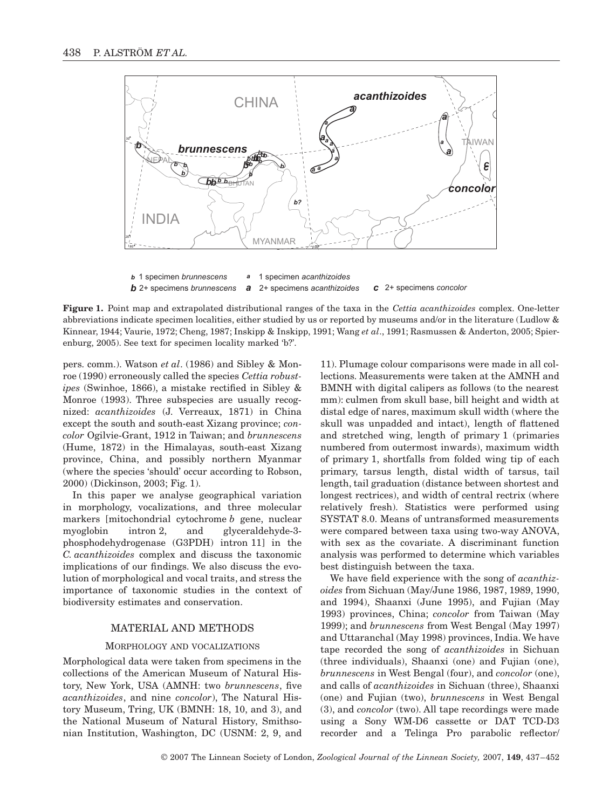



**Figure 1.** Point map and extrapolated distributional ranges of the taxa in the *Cettia acanthizoides* complex. One-letter abbreviations indicate specimen localities, either studied by us or reported by museums and/or in the literature (Ludlow & Kinnear, 1944; Vaurie, 1972; Cheng, 1987; Inskipp & Inskipp, 1991; Wang *et al*., 1991; Rasmussen & Anderton, 2005; Spierenburg, 2005). See text for specimen locality marked 'b?'.

pers. comm.). Watson *et al*. (1986) and Sibley & Monroe (1990) erroneously called the species *Cettia robustipes* (Swinhoe, 1866), a mistake rectified in Sibley & Monroe (1993). Three subspecies are usually recognized: *acanthizoides* (J. Verreaux, 1871) in China except the south and south-east Xizang province; *concolor* Ogilvie-Grant, 1912 in Taiwan; and *brunnescens* (Hume, 1872) in the Himalayas, south-east Xizang province, China, and possibly northern Myanmar (where the species 'should' occur according to Robson, 2000) (Dickinson, 2003; Fig. 1).

In this paper we analyse geographical variation in morphology, vocalizations, and three molecular markers [mitochondrial cytochrome *b* gene, nuclear myoglobin intron 2, and glyceraldehyde-3 phosphodehydrogenase (G3PDH) intron 11] in the *C. acanthizoides* complex and discuss the taxonomic implications of our findings. We also discuss the evolution of morphological and vocal traits, and stress the importance of taxonomic studies in the context of biodiversity estimates and conservation.

# MATERIAL AND METHODS

#### MORPHOLOGY AND VOCALIZATIONS

Morphological data were taken from specimens in the collections of the American Museum of Natural History, New York, USA (AMNH: two *brunnescens*, five *acanthizoides*, and nine *concolor*), The Natural History Museum, Tring, UK (BMNH: 18, 10, and 3), and the National Museum of Natural History, Smithsonian Institution, Washington, DC (USNM: 2, 9, and 11). Plumage colour comparisons were made in all collections. Measurements were taken at the AMNH and BMNH with digital calipers as follows (to the nearest mm): culmen from skull base, bill height and width at distal edge of nares, maximum skull width (where the skull was unpadded and intact), length of flattened and stretched wing, length of primary 1 (primaries numbered from outermost inwards), maximum width of primary 1, shortfalls from folded wing tip of each primary, tarsus length, distal width of tarsus, tail length, tail graduation (distance between shortest and longest rectrices), and width of central rectrix (where relatively fresh). Statistics were performed using SYSTAT 8.0. Means of untransformed measurements were compared between taxa using two-way ANOVA, with sex as the covariate. A discriminant function analysis was performed to determine which variables best distinguish between the taxa.

We have field experience with the song of *acanthizoides* from Sichuan (May/June 1986, 1987, 1989, 1990, and 1994), Shaanxi (June 1995), and Fujian (May 1993) provinces, China; *concolor* from Taiwan (May 1999); and *brunnescens* from West Bengal (May 1997) and Uttaranchal (May 1998) provinces, India. We have tape recorded the song of *acanthizoides* in Sichuan (three individuals), Shaanxi (one) and Fujian (one), *brunnescens* in West Bengal (four), and *concolor* (one), and calls of *acanthizoides* in Sichuan (three), Shaanxi (one) and Fujian (two), *brunnescens* in West Bengal (3), and *concolor* (two). All tape recordings were made using a Sony WM-D6 cassette or DAT TCD-D3 recorder and a Telinga Pro parabolic reflector/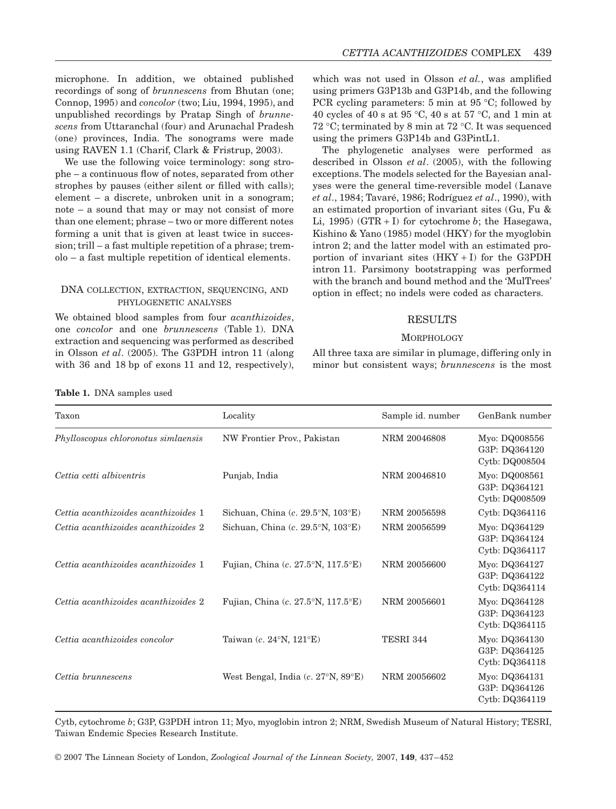microphone. In addition, we obtained published recordings of song of *brunnescens* from Bhutan (one; Connop, 1995) and *concolor* (two; Liu, 1994, 1995), and unpublished recordings by Pratap Singh of *brunnescens* from Uttaranchal (four) and Arunachal Pradesh (one) provinces, India. The sonograms were made using RAVEN 1.1 (Charif, Clark & Fristrup, 2003).

We use the following voice terminology: song strophe – a continuous flow of notes, separated from other strophes by pauses (either silent or filled with calls); element – a discrete, unbroken unit in a sonogram; note – a sound that may or may not consist of more than one element; phrase – two or more different notes forming a unit that is given at least twice in succession; trill – a fast multiple repetition of a phrase; tremolo – a fast multiple repetition of identical elements.

# DNA COLLECTION, EXTRACTION, SEQUENCING, AND PHYLOGENETIC ANALYSES

We obtained blood samples from four *acanthizoides*, one *concolor* and one *brunnescens* (Table 1). DNA extraction and sequencing was performed as described in Olsson *et al*. (2005). The G3PDH intron 11 (along with 36 and 18 bp of exons 11 and 12, respectively),

which was not used in Olsson *et al.*, was amplified using primers G3P13b and G3P14b, and the following PCR cycling parameters: 5 min at 95 °C; followed by 40 cycles of 40 s at 95 °C, 40 s at 57 °C, and 1 min at 72 °C; terminated by 8 min at 72 °C. It was sequenced using the primers G3P14b and G3PintL1.

The phylogenetic analyses were performed as described in Olsson *et al*. (2005), with the following exceptions. The models selected for the Bayesian analyses were the general time-reversible model (Lanave *et al*., 1984; Tavaré, 1986; Rodríguez *et al*., 1990), with an estimated proportion of invariant sites (Gu, Fu & Li, 1995) (GTR + I) for cytochrome  $b$ ; the Hasegawa, Kishino & Yano (1985) model (HKY) for the myoglobin intron 2; and the latter model with an estimated proportion of invariant sites (HKY + I) for the G3PDH intron 11. Parsimony bootstrapping was performed with the branch and bound method and the 'MulTrees' option in effect; no indels were coded as characters.

## RESULTS

### **MORPHOLOGY**

All three taxa are similar in plumage, differing only in minor but consistent ways; *brunnescens* is the most

|  |  |  | <b>Table 1.</b> DNA samples used |  |
|--|--|--|----------------------------------|--|
|--|--|--|----------------------------------|--|

| Taxon                                | Locality                                                   | Sample id. number | GenBank number                                   |
|--------------------------------------|------------------------------------------------------------|-------------------|--------------------------------------------------|
| Phylloscopus chloronotus simlaensis  | NW Frontier Prov., Pakistan                                | NRM 20046808      | Myo: DQ008556<br>G3P: DQ364120<br>Cytb: DQ008504 |
| Cettia cetti albiventris             | Punjab, India                                              | NRM 20046810      | Myo: DQ008561<br>G3P: DQ364121<br>Cytb: DQ008509 |
| Cettia acanthizoides acanthizoides 1 | Sichuan, China $(c. 29.5\textdegree N, 103\textdegree E)$  | NRM 20056598      | Cytb: DQ364116                                   |
| Cettia acanthizoides acanthizoides 2 | Sichuan, China $(c. 29.5\textdegree N, 103\textdegree E)$  | NRM 20056599      | Myo: DQ364129<br>G3P: DQ364124<br>Cytb: DQ364117 |
| Cettia acanthizoides acanthizoides 1 | Fujian, China (c. 27.5°N, 117.5°E)                         | NRM 20056600      | Myo: DQ364127<br>G3P: DQ364122<br>Cytb: DQ364114 |
| Cettia acanthizoides acanthizoides 2 | Fujian, China (c. 27.5 $\mathrm{N}$ , 117.5 $\mathrm{E}$ ) | NRM 20056601      | Myo: DQ364128<br>G3P: DQ364123<br>Cytb: DQ364115 |
| Cettia acanthizoides concolor        | Taiwan $(c. 24\textdegree N, 121\textdegree E)$            | TESRI 344         | Myo: DQ364130<br>G3P: DQ364125<br>Cytb: DQ364118 |
| Cettia brunnescens                   | West Bengal, India $(c. 27°N, 89°E)$                       | NRM 20056602      | Myo: DQ364131<br>G3P: DQ364126<br>Cytb: DQ364119 |

Cytb, cytochrome *b*; G3P, G3PDH intron 11; Myo, myoglobin intron 2; NRM, Swedish Museum of Natural History; TESRI, Taiwan Endemic Species Research Institute.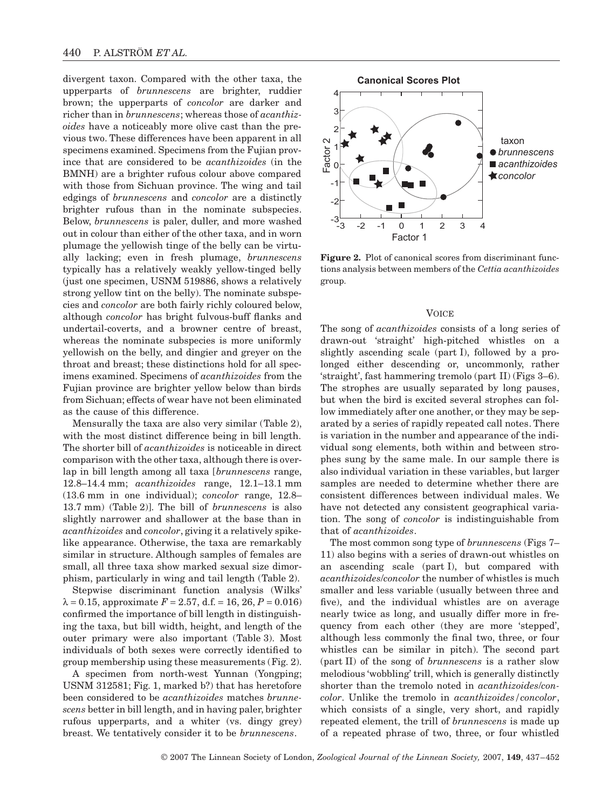divergent taxon. Compared with the other taxa, the upperparts of *brunnescens* are brighter, ruddier brown; the upperparts of *concolor* are darker and richer than in *brunnescens*; whereas those of *acanthizoides* have a noticeably more olive cast than the previous two. These differences have been apparent in all specimens examined. Specimens from the Fujian province that are considered to be *acanthizoides* (in the BMNH) are a brighter rufous colour above compared with those from Sichuan province. The wing and tail edgings of *brunnescens* and *concolor* are a distinctly brighter rufous than in the nominate subspecies. Below, *brunnescens* is paler, duller, and more washed out in colour than either of the other taxa, and in worn plumage the yellowish tinge of the belly can be virtually lacking; even in fresh plumage, *brunnescens* typically has a relatively weakly yellow-tinged belly (just one specimen, USNM 519886, shows a relatively strong yellow tint on the belly). The nominate subspecies and *concolor* are both fairly richly coloured below, although *concolor* has bright fulvous-buff flanks and undertail-coverts, and a browner centre of breast, whereas the nominate subspecies is more uniformly yellowish on the belly, and dingier and greyer on the throat and breast; these distinctions hold for all specimens examined. Specimens of *acanthizoides* from the Fujian province are brighter yellow below than birds from Sichuan; effects of wear have not been eliminated as the cause of this difference.

Mensurally the taxa are also very similar (Table 2), with the most distinct difference being in bill length. The shorter bill of *acanthizoides* is noticeable in direct comparison with the other taxa, although there is overlap in bill length among all taxa [*brunnescens* range, 12.8–14.4 mm; *acanthizoides* range, 12.1–13.1 mm (13.6 mm in one individual); *concolor* range, 12.8– 13.7 mm) (Table 2)]. The bill of *brunnescens* is also slightly narrower and shallower at the base than in *acanthizoides* and *concolor*, giving it a relatively spikelike appearance. Otherwise, the taxa are remarkably similar in structure. Although samples of females are small, all three taxa show marked sexual size dimorphism, particularly in wing and tail length (Table 2).

Stepwise discriminant function analysis (Wilks'  $\lambda = 0.15$ , approximate  $F = 2.57$ , d.f. = 16, 26,  $P = 0.016$ ) confirmed the importance of bill length in distinguishing the taxa, but bill width, height, and length of the outer primary were also important (Table 3). Most individuals of both sexes were correctly identified to group membership using these measurements (Fig. 2).

A specimen from north-west Yunnan (Yongping; USNM 312581; Fig. 1, marked b?) that has heretofore been considered to be *acanthizoides* matches *brunnescens* better in bill length, and in having paler, brighter rufous upperparts, and a whiter (vs. dingy grey) breast. We tentatively consider it to be *brunnescens*.



**Figure 2.** Plot of canonical scores from discriminant functions analysis between members of the *Cettia acanthizoides* group.

#### **VOICE**

The song of *acanthizoides* consists of a long series of drawn-out 'straight' high-pitched whistles on a slightly ascending scale (part I), followed by a prolonged either descending or, uncommonly, rather 'straight', fast hammering tremolo (part II) (Figs 3–6). The strophes are usually separated by long pauses, but when the bird is excited several strophes can follow immediately after one another, or they may be separated by a series of rapidly repeated call notes. There is variation in the number and appearance of the individual song elements, both within and between strophes sung by the same male. In our sample there is also individual variation in these variables, but larger samples are needed to determine whether there are consistent differences between individual males. We have not detected any consistent geographical variation. The song of *concolor* is indistinguishable from that of *acanthizoides*.

The most common song type of *brunnescens* (Figs 7– 11) also begins with a series of drawn-out whistles on an ascending scale (part I), but compared with *acanthizoides*/*concolor* the number of whistles is much smaller and less variable (usually between three and five), and the individual whistles are on average nearly twice as long, and usually differ more in frequency from each other (they are more 'stepped', although less commonly the final two, three, or four whistles can be similar in pitch). The second part (part II) of the song of *brunnescens* is a rather slow melodious 'wobbling' trill, which is generally distinctly shorter than the tremolo noted in *acanthizoides*/*concolor*. Unlike the tremolo in *acanthizoides/concolor*, which consists of a single, very short, and rapidly repeated element, the trill of *brunnescens* is made up of a repeated phrase of two, three, or four whistled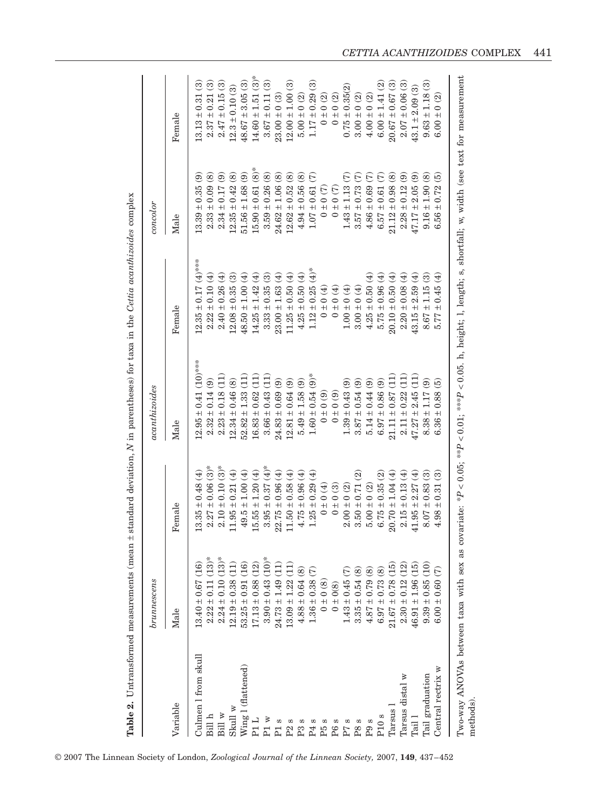|                             | brunnescens                         |                                           | acanthizoides                                                                                                                                                                            |                                 | concolor                            |                       |
|-----------------------------|-------------------------------------|-------------------------------------------|------------------------------------------------------------------------------------------------------------------------------------------------------------------------------------------|---------------------------------|-------------------------------------|-----------------------|
| Variable                    | Male                                | Female                                    | Male                                                                                                                                                                                     | Female                          | Male                                | Female                |
| Culmen 1 from skull         | $13.40 \pm 0.67$ (16)               | $13.35 \pm 0.48(4)$                       | $12.95 \pm 0.41$ (10)***                                                                                                                                                                 | $12.35 \pm 0.17$ (4)***         | ම<br>$\pm 0.35$<br>13.39            | $13.13 \pm 0.31$ (3)  |
| Bill h                      | $2.22 \pm 0.11$ (13) <sup>*</sup>   | $2.27 \pm 0.06$ (3) <sup>*</sup>          | $2.32 \pm 0.14(9)$                                                                                                                                                                       | $2.22 \pm 0.10(4)$              | $2.33 \pm 0.09$ (8)                 | $2.37 \pm 0.21$ (3)   |
| Bill w                      | $13)*$<br>$2.24 \pm 0.10$           | $\ddot{3})^*$<br>$2.10 \pm 0.10$          | $\Xi$<br>$2.23 \pm 0.18$                                                                                                                                                                 | $\bigoplus$<br>$2.40 \pm 0.26$  | ම<br>± 0.17<br>2.34                 | $2.47 \pm 0.15$ (3)   |
| $Skull \mathbf{w}$          | $\Xi$<br>$12.19 \pm 0.38$           | $1.95 \pm 0.21(4)$                        | $2.34 \pm 0.46$ (8)                                                                                                                                                                      | $2.08 \pm 0.35(3)$              | $\circledS$<br>$12.35 \pm 0.42$     | $(2.3 \pm 0.10)$ (3)  |
| Wing 1 (flattened)          | $\frac{16}{1}$<br>$53.25 \pm 0.91$  | $49.5 \pm 1.00(4)$                        | Ξ,<br>$52.82 \pm 1.33$                                                                                                                                                                   | $\bigoplus$<br>$48.50 \pm 1.00$ | ± 1.68(9)<br>51.56                  | $48.67 \pm 3.05$ (3)  |
| P1L                         | $\widetilde{2}$<br>$17.13 \pm 0.88$ | $5.55 \pm 1.20(4)$                        | $16.83 \pm 0.62$                                                                                                                                                                         | $14.25 \pm 1.42$ (4)            | $15.90 \pm 0.61$ (8)*               | $14.60 \pm 1.51$ (3)* |
| P1 $w$                      | $3.90\pm0.43$                       | $\widetilde{4})^*$<br>$\pm 0.37$<br>3.95  | $\Xi$<br>$3.66 \pm 0.43$                                                                                                                                                                 | ම<br>$3.33 \pm 0.35$            | $\circledast$<br>$\pm 0.26$<br>3.59 | $3.67 \pm 0.11(3)$    |
| w                           | $24.73 \pm 1.49$                    | $22.75 \pm 0.96(4)$                       | $24.83 \pm 0.69(9)$                                                                                                                                                                      | $23.00 \pm 1.63(4)$             | $24.62 \pm 1.06$ (8)                | $23.00 \pm 0$ (3)     |
| P2s                         | $\frac{1}{1}$<br>$13.09 \pm 1.22$   | $11.50 \pm 0.58(4)$                       | $12.81 \pm 0.64$ (9)                                                                                                                                                                     | $11.25 \pm 0.50(4)$             | $\circledast$<br>$12.62 \pm 0.52$   | $12.00 \pm 1.00$ (3)  |
| P3s                         | $4.88 \pm 0.64$ (8)                 | $4.75 \pm 0.96(4)$                        | $5.49 \pm 1.58$ (9)                                                                                                                                                                      | $4.25 \pm 0.50(4)$              | $4.94 \pm 0.56$ (8)                 | $5.00 \pm 0$ (2)      |
| w<br>24                     | E<br>$1.36\pm0.38$                  | $1.25 \pm 0.29(4)$                        | $1.60 \pm 0.54$ (9)*                                                                                                                                                                     | $1.12 \pm 0.25$ (4)*            | E<br>$1.07 \pm 0.61$                | $1.17 \pm 0.29$ (3)   |
| P5 s                        | $0 \pm 0$ (8)                       | (4)                                       | $0 \pm 0$ (9)                                                                                                                                                                            | $0 \pm 0$ (4)                   | $0 \pm 0$ (7)                       | $0 \pm 0$ (2)         |
| P6s                         | $0 \pm 0(8)$                        | $0 \pm 0$ (3)                             | (6) 0 0 0                                                                                                                                                                                | $(4) 0 \pm 0$                   | $(1)$ 0 ± 0                         | $0 \pm 0$ (2)         |
| P <sub>78</sub>             | $1.43 \pm 0.45$                     | $2.00 \pm 0$ (2)                          | $1.39 \pm 0.43$ (9)                                                                                                                                                                      | $1.00 \pm 0$ (4)                | E<br>$1.43 \pm 1.13$                | $0.75 \pm 0.35(2)$    |
| P8s                         | $3.35 \pm 0.54$ (8)                 | $\widehat{\mathfrak{D}}$<br>$3.50\pm0.71$ | $3.87 \pm 0.54(9)$                                                                                                                                                                       | $3.00 \pm 0.4$                  | E<br>$\pm$ 0.73<br>$3.57$ :         | $3.00 \pm 0$ (2)      |
| P <sub>9</sub> <sub>s</sub> | $4.87 \pm 0.79$ (8)                 | $5.00 \pm 0$ (2)                          | $5.14 \pm 0.44(9)$                                                                                                                                                                       | $4.25 \pm 0.50(4)$              | E<br>$4.86 \pm 0.69$                | $4.00 \pm 0$ (2)      |
| P10s                        | $6.97 \pm 0.73$ (8)                 | $6.75 \pm 0.35$ (2)                       | $6.97 \pm 0.86(9)$                                                                                                                                                                       | $5.75 \pm 0.96(4)$              | E<br>$\pm 0.61$<br>6.57             | $6.00 \pm 1.41(2)$    |
| Tarsus                      | $21.67 \pm 0.78$ (15)               | $20.70 \pm 1.04$ (4)                      | $21.11 \pm 0.87$ (11                                                                                                                                                                     | $20.10 \pm 0.50(4)$             | $\circledast$<br>$21.12 \pm 0.98$   | $20.67 \pm 0.67$ (3)  |
| Tarsus distal w             | $\widetilde{2}$<br>$2.30 \pm 0.12$  | $2.15 \pm 0.13(4)$                        | $\overline{11}$<br>$2.11 \pm 0.22$                                                                                                                                                       | $2.20 \pm 0.08(4)$              | ම<br>$2.28 \pm 0.12$                | $2.07 \pm 0.06$ (3)   |
| Tail 1                      | $46.91 \pm 1.96$ (15                | $41.95 \pm 2.27(4)$                       | $\frac{1}{1}$<br>$47.27 \pm 2.45$                                                                                                                                                        | $43.15 \pm 2.59(4)$             | 2.05(9)<br>47.17±                   | $43.1 \pm 2.09$ (3)   |
| Tail graduation             | $9.39 \pm 0.85$ (10)                | $8.07 \pm 0.83$ (3)                       | $8.38 \pm 1.17(9)$                                                                                                                                                                       | $8.67 \pm 1.15$ (3)             | $9.16 \pm 1.90(8)$                  | $9.63 \pm 1.18$ (3)   |
| Central rectrix w           | $6.00 \pm 0.60$ (7)                 | ± 0.31(3)<br>4.98                         | $\widetilde{5}$<br>$6.36 \pm 0.88$                                                                                                                                                       | $5.77 \pm 0.45$ (4)             | $\widetilde{e}$<br>± 0.72<br>6.56   | 6.00 ± 0 $(2)$        |
| methods)                    |                                     |                                           | Two-way ANOVAs between taxa with sex as covariate: ${}^{*P}P < 0.05$ ; ${}^{**P}C < 0.01$ ; ${}^{***P}C < 0.05$ . h, height; 1, length; s, shortfall; w, width (see text for measurement |                                 |                                     |                       |

Table 2. Untransformed measurements (mean  $\pm$  standard deviation,  $N$  in parentheses) for taxa in the Cettia acanthizoides complex *N* in parentheses) for taxa in the *Cettia acanthizoides* complex **Table 2.** Untransformed measurements (mean ± standard deviation,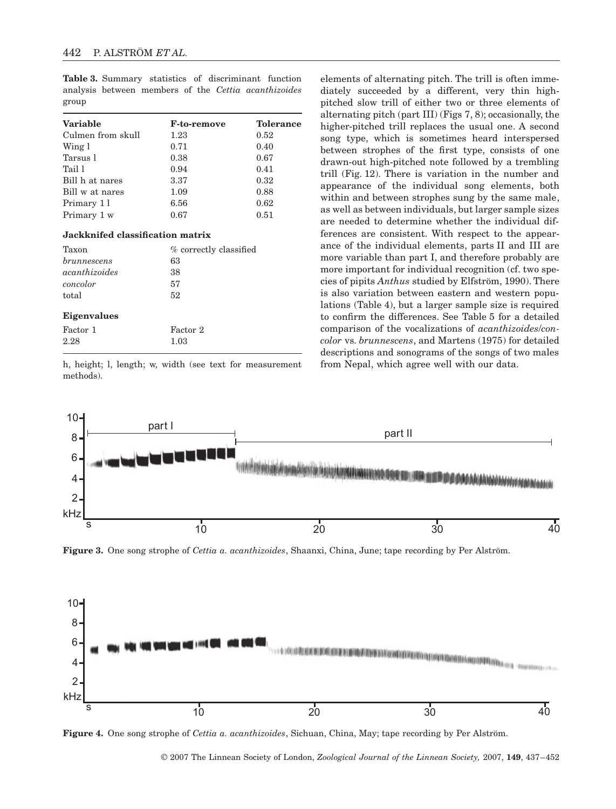**Table 3.** Summary statistics of discriminant function analysis between members of the *Cettia acanthizoides* group

| <b>F-to-remove</b> | Tolerance |
|--------------------|-----------|
| 1.23               | 0.52      |
| 0.71               | 0.40      |
| 0.38               | 0.67      |
| 0.94               | 0.41      |
| 3.37               | 0.32      |
| 1.09               | 0.88      |
| 6.56               | 0.62      |
| 0.67               | 0.51      |
|                    |           |

# **Jackknifed classification matrix**

| Taxon              | % correctly classified |
|--------------------|------------------------|
| <i>brunnescens</i> | 63                     |
| acanthizoides      | 38                     |
| concolor           | 57                     |
| total              | 52                     |
| Eigenvalues        |                        |
| Factor 1           | Factor 2               |
| 2.28               | 1.03                   |

h, height; l, length; w, width (see text for measurement methods).

elements of alternating pitch. The trill is often immediately succeeded by a different, very thin highpitched slow trill of either two or three elements of alternating pitch (part III) (Figs 7, 8); occasionally, the higher-pitched trill replaces the usual one. A second song type, which is sometimes heard interspersed between strophes of the first type, consists of one drawn-out high-pitched note followed by a trembling trill (Fig. 12). There is variation in the number and appearance of the individual song elements, both within and between strophes sung by the same male, as well as between individuals, but larger sample sizes are needed to determine whether the individual differences are consistent. With respect to the appearance of the individual elements, parts II and III are more variable than part I, and therefore probably are more important for individual recognition (cf. two species of pipits *Anthus* studied by Elfström, 1990). There is also variation between eastern and western populations (Table 4), but a larger sample size is required to confirm the differences. See Table 5 for a detailed comparison of the vocalizations of *acanthizoides*/*concolor* vs. *brunnescens*, and Martens (1975) for detailed descriptions and sonograms of the songs of two males from Nepal, which agree well with our data.



**Figure 3.** One song strophe of *Cettia a. acanthizoides*, Shaanxi, China, June; tape recording by Per Alström.



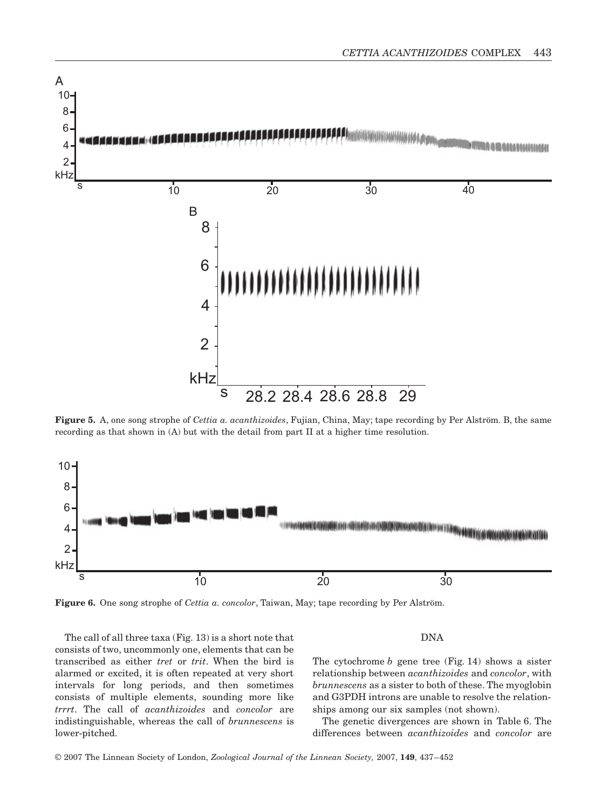

**Figure 5.** A, one song strophe of *Cettia a. acanthizoides*, Fujian, China, May; tape recording by Per Alström. B, the same recording as that shown in (A) but with the detail from part II at a higher time resolution.



**Figure 6.** One song strophe of *Cettia a. concolor*, Taiwan, May; tape recording by Per Alström.

The call of all three taxa (Fig. 13) is a short note that consists of two, uncommonly one, elements that can be transcribed as either *tret* or *trit*. When the bird is alarmed or excited, it is often repeated at very short intervals for long periods, and then sometimes consists of multiple elements, sounding more like *trrrt*. The call of *acanthizoides* and *concolor* are indistinguishable, whereas the call of *brunnescens* is lower-pitched.

# DNA

The cytochrome *b* gene tree (Fig. 14) shows a sister relationship between *acanthizoides* and *concolor*, with *brunnescens* as a sister to both of these. The myoglobin and G3PDH introns are unable to resolve the relationships among our six samples (not shown).

The genetic divergences are shown in Table 6. The differences between *acanthizoides* and *concolor* are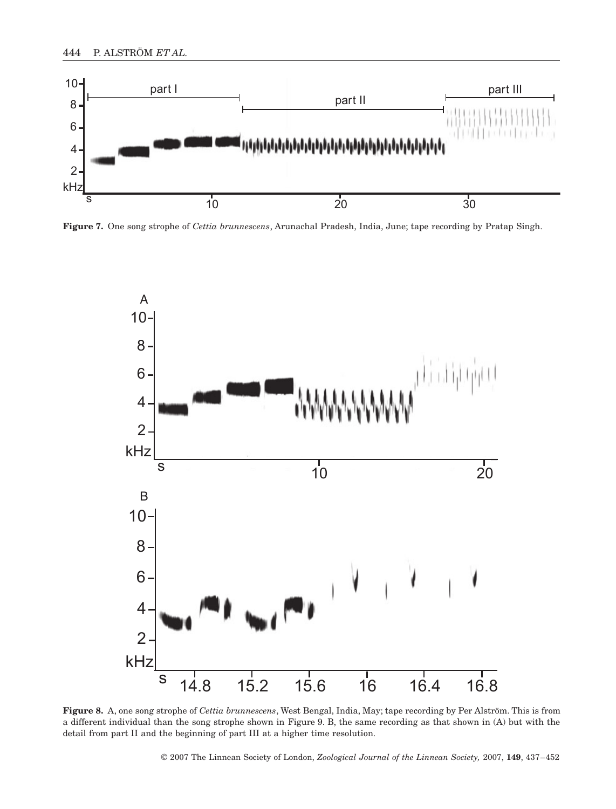

**Figure 7.** One song strophe of *Cettia brunnescens*, Arunachal Pradesh, India, June; tape recording by Pratap Singh.



**Figure 8.** A, one song strophe of *Cettia brunnescens*, West Bengal, India, May; tape recording by Per Alström. This is from a different individual than the song strophe shown in Figure 9. B, the same recording as that shown in (A) but with the detail from part II and the beginning of part III at a higher time resolution.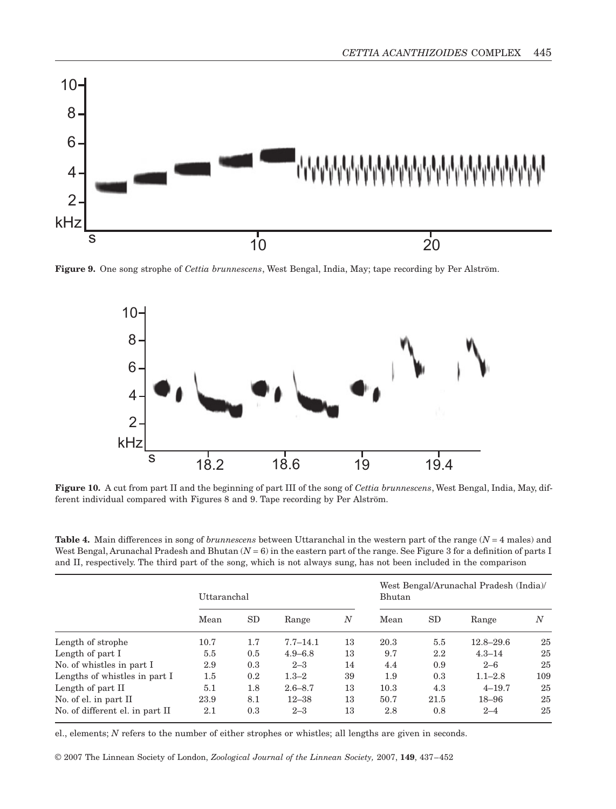

**Figure 9.** One song strophe of *Cettia brunnescens*, West Bengal, India, May; tape recording by Per Alström.



**Figure 10.** A cut from part II and the beginning of part III of the song of *Cettia brunnescens*, West Bengal, India, May, different individual compared with Figures 8 and 9. Tape recording by Per Alström.

**Table 4.** Main differences in song of *brunnescens* between Uttaranchal in the western part of the range (*N* = 4 males) and West Bengal, Arunachal Pradesh and Bhutan (*N* = 6) in the eastern part of the range. See Figure 3 for a definition of parts I and II, respectively. The third part of the song, which is not always sung, has not been included in the comparison

|                                 | Uttaranchal |           |              |                  | West Bengal/Arunachal Pradesh (India)/<br><b>Bhutan</b> |      |               |                  |
|---------------------------------|-------------|-----------|--------------|------------------|---------------------------------------------------------|------|---------------|------------------|
|                                 | Mean        | <b>SD</b> | Range        | $\boldsymbol{N}$ | Mean                                                    | SD   | Range         | $\boldsymbol{N}$ |
| Length of strophe               | 10.7        | 1.7       | $7.7 - 14.1$ | 13               | 20.3                                                    | 5.5  | $12.8 - 29.6$ | 25               |
| Length of part I                | 5.5         | 0.5       | $4.9 - 6.8$  | 13               | 9.7                                                     | 2.2  | $4.3 - 14$    | 25               |
| No. of whistles in part I       | 2.9         | 0.3       | $2 - 3$      | 14               | 4.4                                                     | 0.9  | $2 - 6$       | 25               |
| Lengths of whistles in part I   | $1.5\,$     | 0.2       | $1.3 - 2$    | 39               | 1.9                                                     | 0.3  | $1.1 - 2.8$   | 109              |
| Length of part II               | 5.1         | 1.8       | $2.6 - 8.7$  | 13               | 10.3                                                    | 4.3  | $4 - 19.7$    | 25               |
| No. of el. in part II           | 23.9        | 8.1       | $12 - 38$    | 13               | 50.7                                                    | 21.5 | $18 - 96$     | 25               |
| No. of different el. in part II | 2.1         | 0.3       | $2 - 3$      | 13               | 2.8                                                     | 0.8  | $2 - 4$       | 25               |

el., elements; *N* refers to the number of either strophes or whistles; all lengths are given in seconds.

© 2007 The Linnean Society of London, *Zoological Journal of the Linnean Society,* 2007, **149**, 437–452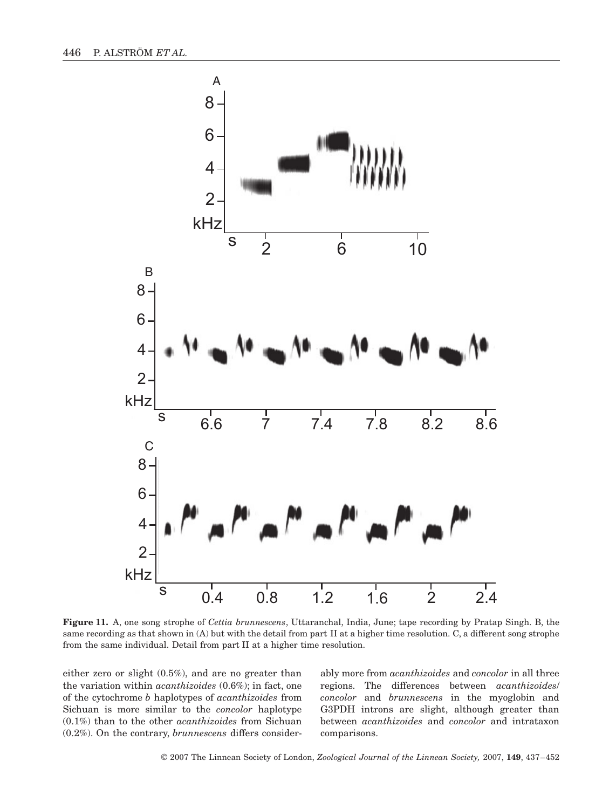

**Figure 11.** A, one song strophe of *Cettia brunnescens*, Uttaranchal, India, June; tape recording by Pratap Singh. B, the same recording as that shown in (A) but with the detail from part II at a higher time resolution. C, a different song strophe from the same individual. Detail from part II at a higher time resolution.

either zero or slight (0.5%), and are no greater than the variation within *acanthizoides* (0.6%); in fact, one of the cytochrome *b* haplotypes of *acanthizoides* from Sichuan is more similar to the *concolor* haplotype (0.1%) than to the other *acanthizoides* from Sichuan (0.2%). On the contrary, *brunnescens* differs considerably more from *acanthizoides* and *concolor* in all three regions. The differences between *acanthizoides*/ *concolor* and *brunnescens* in the myoglobin and G3PDH introns are slight, although greater than between *acanthizoides* and *concolor* and intrataxon comparisons.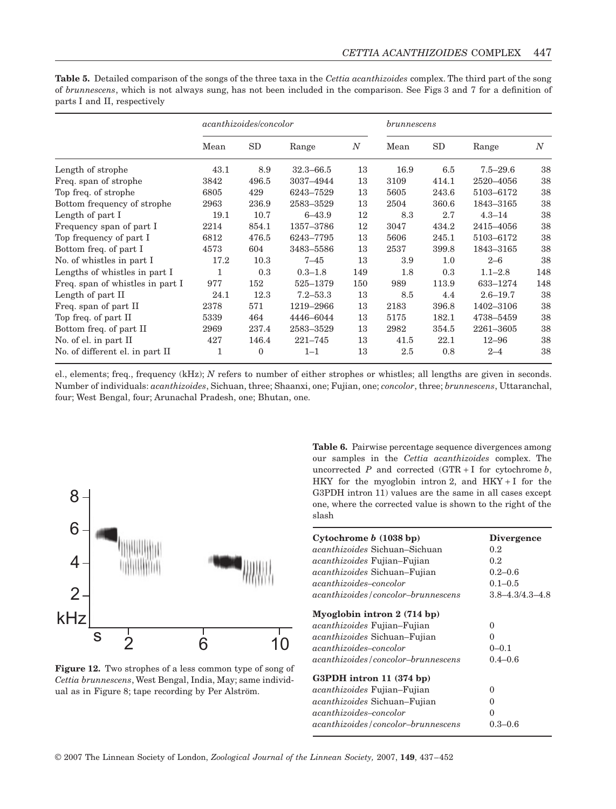**Table 5.** Detailed comparison of the songs of the three taxa in the *Cettia acanthizoides* complex. The third part of the song of *brunnescens*, which is not always sung, has not been included in the comparison. See Figs 3 and 7 for a definition of parts I and II, respectively

|                                  | <i>acanthizoides/concolor</i> |              |               |                  | brunnescens |       |              |                  |
|----------------------------------|-------------------------------|--------------|---------------|------------------|-------------|-------|--------------|------------------|
|                                  | Mean                          | SD           | Range         | $\boldsymbol{N}$ | Mean        | SD    | Range        | $\boldsymbol{N}$ |
| Length of strophe                | 43.1                          | 8.9          | $32.3 - 66.5$ | 13               | 16.9        | 6.5   | $7.5 - 29.6$ | 38               |
| Freq. span of strophe            | 3842                          | 496.5        | 3037-4944     | 13               | 3109        | 414.1 | 2520-4056    | 38               |
| Top freq. of strophe             | 6805                          | 429          | 6243-7529     | 13               | 5605        | 243.6 | 5103-6172    | 38               |
| Bottom frequency of strophe      | 2963                          | 236.9        | 2583-3529     | 13               | 2504        | 360.6 | 1843-3165    | 38               |
| Length of part I                 | 19.1                          | 10.7         | $6 - 43.9$    | 12               | 8.3         | 2.7   | $4.3 - 14$   | 38               |
| Frequency span of part I         | 2214                          | 854.1        | 1357-3786     | 12               | 3047        | 434.2 | 2415-4056    | 38               |
| Top frequency of part I          | 6812                          | 476.5        | 6243-7795     | 13               | 5606        | 245.1 | 5103-6172    | 38               |
| Bottom freq. of part I           | 4573                          | 604          | 3483-5586     | 13               | 2537        | 399.8 | 1843-3165    | 38               |
| No. of whistles in part I        | 17.2                          | 10.3         | $7 - 45$      | 13               | 3.9         | 1.0   | $2 - 6$      | 38               |
| Lengths of whistles in part I    | 1                             | 0.3          | $0.3 - 1.8$   | 149              | 1.8         | 0.3   | $1.1 - 2.8$  | 148              |
| Freq. span of whistles in part I | 977                           | 152          | 525-1379      | 150              | 989         | 113.9 | 633-1274     | 148              |
| Length of part II                | 24.1                          | 12.3         | $7.2 - 53.3$  | 13               | 8.5         | 4.4   | $2.6 - 19.7$ | 38               |
| Freq. span of part II            | 2378                          | 571          | 1219-2966     | 13               | 2183        | 396.8 | 1402-3106    | 38               |
| Top freq. of part II             | 5339                          | 464          | 4446-6044     | 13               | 5175        | 182.1 | 4738-5459    | 38               |
| Bottom freq. of part II          | 2969                          | 237.4        | 2583-3529     | 13               | 2982        | 354.5 | 2261-3605    | 38               |
| No. of el. in part II            | 427                           | 146.4        | $221 - 745$   | 13               | 41.5        | 22.1  | $12 - 96$    | 38               |
| No. of different el. in part II  | 1                             | $\mathbf{0}$ | $1 - 1$       | 13               | 2.5         | 0.8   | $2 - 4$      | 38               |

el., elements; freq., frequency (kHz); *N* refers to number of either strophes or whistles; all lengths are given in seconds. Number of individuals: *acanthizoides*, Sichuan, three; Shaanxi, one; Fujian, one; *concolor*, three; *brunnescens*, Uttaranchal, four; West Bengal, four; Arunachal Pradesh, one; Bhutan, one.



**Figure 12.** Two strophes of a less common type of song of *Cettia brunnescens*, West Bengal, India, May; same individual as in Figure 8; tape recording by Per Alström.

**Table 6.** Pairwise percentage sequence divergences among our samples in the *Cettia acanthizoides* complex. The uncorrected  $P$  and corrected  $(GTR + I)$  for cytochrome  $b$ , HKY for the myoglobin intron 2, and  $HKY + I$  for the G3PDH intron 11) values are the same in all cases except one, where the corrected value is shown to the right of the slash

| Cytochrome $b(1038$ bp)                   | <b>Divergence</b>       |
|-------------------------------------------|-------------------------|
| <i>acanthizoides</i> Sichuan–Sichuan      | 0.2 <sub>1</sub>        |
| <i>acanthizoides</i> Fujian–Fujian        | 0.2 <sub>1</sub>        |
| <i>acanthizoides</i> Sichuan-Fujian       | $0.2 - 0.6$             |
| <i>acanthizoides-concolor</i>             | $0.1 - 0.5$             |
| <i>acanthizoides/concolor-brunnescens</i> | $3.8 - 4.3 / 4.3 - 4.8$ |
| Myoglobin intron $2(714 bp)$              |                         |
| <i>acanthizoides</i> Fujian–Fujian        | $\Omega$                |
| <i>acanthizoides</i> Sichuan–Fujian       | 0                       |
| <i>acanthizoides-concolor</i>             | $0 - 0.1$               |
| <i>acanthizoides/concolor-brunnescens</i> | $0.4 - 0.6$             |
| $G3$ PDH intron 11 $(374$ bp)             |                         |
| acanthizoides Fujian-Fujian               | $\Omega$                |
| <i>acanthizoides</i> Sichuan–Fujian       | $\Omega$                |
| <i>acanthizoides-concolor</i>             | $\Omega$                |
| <i>acanthizoides/concolor-brunnescens</i> | $0.3 - 0.6$             |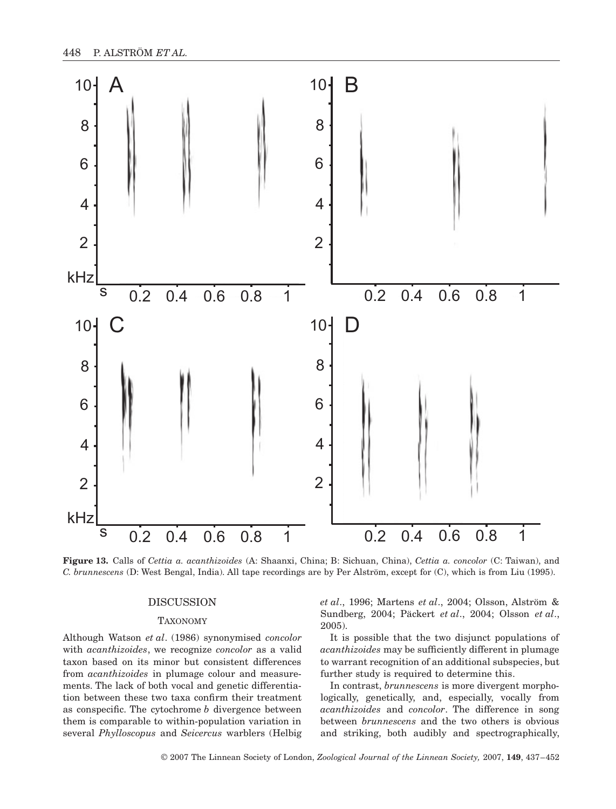

**Figure 13.** Calls of *Cettia a. acanthizoides* (A: Shaanxi, China; B: Sichuan, China), *Cettia a. concolor* (C: Taiwan), and *C. brunnescens* (D: West Bengal, India). All tape recordings are by Per Alström, except for (C), which is from Liu (1995).

# DISCUSSION

#### TAXONOMY

Although Watson *et al*. (1986) synonymised *concolor* with *acanthizoides*, we recognize *concolor* as a valid taxon based on its minor but consistent differences from *acanthizoides* in plumage colour and measurements. The lack of both vocal and genetic differentiation between these two taxa confirm their treatment as conspecific. The cytochrome *b* divergence between them is comparable to within-population variation in several *Phylloscopus* and *Seicercus* warblers (Helbig *et al*., 1996; Martens *et al*., 2004; Olsson, Alström & Sundberg, 2004; Päckert *et al*., 2004; Olsson *et al*., 2005).

It is possible that the two disjunct populations of *acanthizoides* may be sufficiently different in plumage to warrant recognition of an additional subspecies, but further study is required to determine this.

In contrast, *brunnescens* is more divergent morphologically, genetically, and, especially, vocally from *acanthizoides* and *concolor*. The difference in song between *brunnescens* and the two others is obvious and striking, both audibly and spectrographically,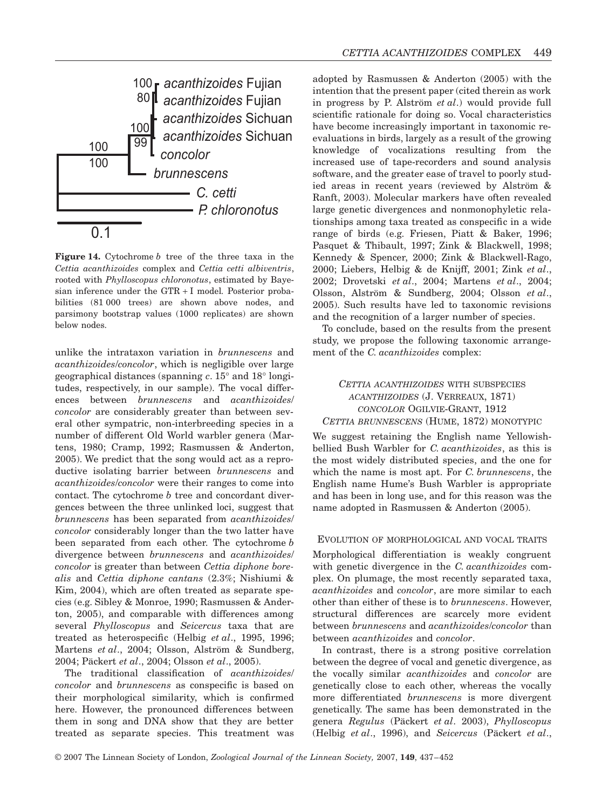

**Figure 14.** Cytochrome *b* tree of the three taxa in the *Cettia acanthizoides* complex and *Cettia cetti albiventris*, rooted with *Phylloscopus chloronotus*, estimated by Bayesian inference under the GTR + I model*.* Posterior probabilities (81 000 trees) are shown above nodes, and parsimony bootstrap values (1000 replicates) are shown below nodes.

unlike the intrataxon variation in *brunnescens* and *acanthizoides*/*concolor*, which is negligible over large geographical distances (spanning *c*. 15° and 18° longitudes, respectively, in our sample). The vocal differences between *brunnescens* and *acanthizoides*/ *concolor* are considerably greater than between several other sympatric, non-interbreeding species in a number of different Old World warbler genera (Martens, 1980; Cramp, 1992; Rasmussen & Anderton, 2005). We predict that the song would act as a reproductive isolating barrier between *brunnescens* and *acanthizoides*/*concolor* were their ranges to come into contact. The cytochrome *b* tree and concordant divergences between the three unlinked loci, suggest that *brunnescens* has been separated from *acanthizoides*/ *concolor* considerably longer than the two latter have been separated from each other. The cytochrome *b* divergence between *brunnescens* and *acanthizoides*/ *concolor* is greater than between *Cettia diphone borealis* and *Cettia diphone cantans* (2.3%; Nishiumi & Kim, 2004), which are often treated as separate species (e.g. Sibley & Monroe, 1990; Rasmussen & Anderton, 2005), and comparable with differences among several *Phylloscopus* and *Seicercus* taxa that are treated as heterospecific (Helbig *et al*., 1995, 1996; Martens *et al*., 2004; Olsson, Alström & Sundberg, 2004; Päckert *et al*., 2004; Olsson *et al*., 2005).

The traditional classification of *acanthizoides*/ *concolor* and *brunnescens* as conspecific is based on their morphological similarity, which is confirmed here. However, the pronounced differences between them in song and DNA show that they are better treated as separate species. This treatment was adopted by Rasmussen & Anderton (2005) with the intention that the present paper (cited therein as work in progress by P. Alström *et al*.) would provide full scientific rationale for doing so. Vocal characteristics have become increasingly important in taxonomic reevaluations in birds, largely as a result of the growing knowledge of vocalizations resulting from the increased use of tape-recorders and sound analysis software, and the greater ease of travel to poorly studied areas in recent years (reviewed by Alström & Ranft, 2003). Molecular markers have often revealed large genetic divergences and nonmonophyletic relationships among taxa treated as conspecific in a wide range of birds (e.g. Friesen, Piatt & Baker, 1996; Pasquet & Thibault, 1997; Zink & Blackwell, 1998; Kennedy & Spencer, 2000; Zink & Blackwell-Rago, 2000; Liebers, Helbig & de Knijff, 2001; Zink *et al*., 2002; Drovetski *et al*., 2004; Martens *et al*., 2004; Olsson, Alström & Sundberg, 2004; Olsson *et al*., 2005). Such results have led to taxonomic revisions and the recognition of a larger number of species.

To conclude, based on the results from the present study, we propose the following taxonomic arrangement of the *C. acanthizoides* complex:

# *CETTIA ACANTHIZOIDES* WITH SUBSPECIES *ACANTHIZOIDES* (J. VERREAUX, 1871) *CONCOLOR* OGILVIE-GRANT, 1912 *CETTIA BRUNNESCENS* (HUME, 1872) MONOTYPIC

We suggest retaining the English name Yellowishbellied Bush Warbler for *C. acanthizoides*, as this is the most widely distributed species, and the one for which the name is most apt. For *C. brunnescens*, the English name Hume's Bush Warbler is appropriate and has been in long use, and for this reason was the name adopted in Rasmussen & Anderton (2005).

# EVOLUTION OF MORPHOLOGICAL AND VOCAL TRAITS

Morphological differentiation is weakly congruent with genetic divergence in the *C. acanthizoides* complex. On plumage, the most recently separated taxa, *acanthizoides* and *concolor*, are more similar to each other than either of these is to *brunnescens*. However, structural differences are scarcely more evident between *brunnescens* and *acanthizoides*/*concolor* than between *acanthizoides* and *concolor*.

In contrast, there is a strong positive correlation between the degree of vocal and genetic divergence, as the vocally similar *acanthizoides* and *concolor* are genetically close to each other, whereas the vocally more differentiated *brunnescens* is more divergent genetically. The same has been demonstrated in the genera *Regulus* (Päckert *et al*. 2003), *Phylloscopus* (Helbig *et al*., 1996), and *Seicercus* (Päckert *et al*.,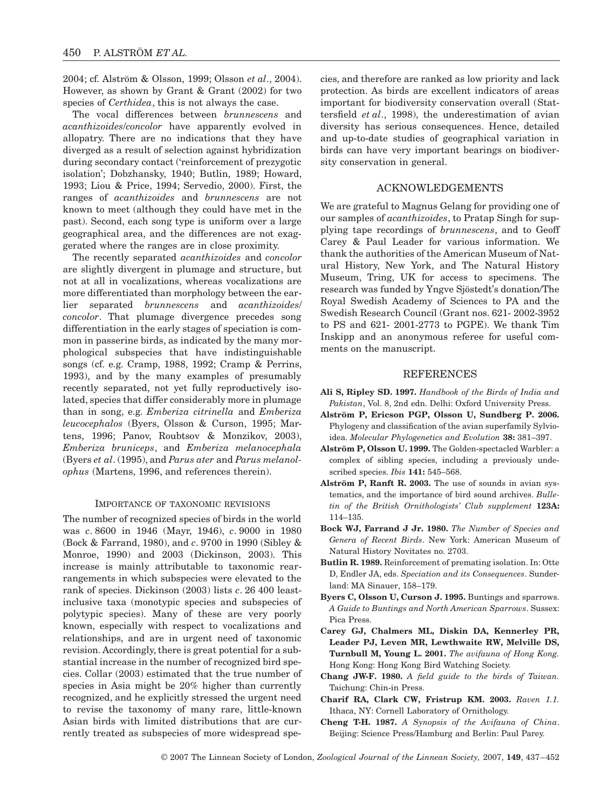2004; cf. Alström & Olsson, 1999; Olsson *et al*., 2004). However, as shown by Grant & Grant (2002) for two species of *Certhidea*, this is not always the case.

The vocal differences between *brunnescens* and *acanthizoides*/*concolor* have apparently evolved in allopatry. There are no indications that they have diverged as a result of selection against hybridization during secondary contact ('reinforcement of prezygotic isolation'; Dobzhansky, 1940; Butlin, 1989; Howard, 1993; Liou & Price, 1994; Servedio, 2000). First, the ranges of *acanthizoides* and *brunnescens* are not known to meet (although they could have met in the past). Second, each song type is uniform over a large geographical area, and the differences are not exaggerated where the ranges are in close proximity.

The recently separated *acanthizoides* and *concolor* are slightly divergent in plumage and structure, but not at all in vocalizations, whereas vocalizations are more differentiated than morphology between the earlier separated *brunnescens* and *acanthizoides*/ *concolor*. That plumage divergence precedes song differentiation in the early stages of speciation is common in passerine birds, as indicated by the many morphological subspecies that have indistinguishable songs (cf. e.g. Cramp, 1988, 1992; Cramp & Perrins, 1993), and by the many examples of presumably recently separated, not yet fully reproductively isolated, species that differ considerably more in plumage than in song, e.g. *Emberiza citrinella* and *Emberiza leucocephalos* (Byers, Olsson & Curson, 1995; Martens, 1996; Panov, Roubtsov & Monzikov, 2003), *Emberiza bruniceps*, and *Emberiza melanocephala* (Byers *et al*. (1995), and *Parus ater* and *Parus melanolophus* (Martens, 1996, and references therein).

# IMPORTANCE OF TAXONOMIC REVISIONS

The number of recognized species of birds in the world was *c*. 8600 in 1946 (Mayr, 1946), *c*. 9000 in 1980 (Bock & Farrand, 1980), and *c*. 9700 in 1990 (Sibley & Monroe, 1990) and 2003 (Dickinson, 2003). This increase is mainly attributable to taxonomic rearrangements in which subspecies were elevated to the rank of species. Dickinson (2003) lists *c*. 26 400 leastinclusive taxa (monotypic species and subspecies of polytypic species). Many of these are very poorly known, especially with respect to vocalizations and relationships, and are in urgent need of taxonomic revision. Accordingly, there is great potential for a substantial increase in the number of recognized bird species. Collar (2003) estimated that the true number of species in Asia might be 20% higher than currently recognized, and he explicitly stressed the urgent need to revise the taxonomy of many rare, little-known Asian birds with limited distributions that are currently treated as subspecies of more widespread species, and therefore are ranked as low priority and lack protection. As birds are excellent indicators of areas important for biodiversity conservation overall (Stattersfield *et al*., 1998), the underestimation of avian diversity has serious consequences. Hence, detailed and up-to-date studies of geographical variation in birds can have very important bearings on biodiversity conservation in general.

# ACKNOWLEDGEMENTS

We are grateful to Magnus Gelang for providing one of our samples of *acanthizoides*, to Pratap Singh for supplying tape recordings of *brunnescens*, and to Geoff Carey & Paul Leader for various information. We thank the authorities of the American Museum of Natural History, New York, and The Natural History Museum, Tring, UK for access to specimens. The research was funded by Yngve Sjöstedt's donation/The Royal Swedish Academy of Sciences to PA and the Swedish Research Council (Grant nos. 621- 2002-3952 to PS and 621- 2001-2773 to PGPE). We thank Tim Inskipp and an anonymous referee for useful comments on the manuscript.

# REFERENCES

- **Ali S, Ripley SD. 1997.** *Handbook of the Birds of India and Pakistan*, Vol. 8, 2nd edn. Delhi: Oxford University Press.
- **Alström P, Ericson PGP, Olsson U, Sundberg P. 2006.** Phylogeny and classification of the avian superfamily Sylvioidea. *Molecular Phylogenetics and Evolution* **38:** 381–397.
- **Alström P, Olsson U. 1999.** The Golden-spectacled Warbler: a complex of sibling species, including a previously undescribed species. *Ibis* **141:** 545–568.
- **Alström P, Ranft R. 2003.** The use of sounds in avian systematics, and the importance of bird sound archives. *Bulletin of the British Ornithologists' Club supplement* **123A:** 114–135.
- **Bock WJ, Farrand J Jr. 1980.** *The Number of Species and Genera of Recent Birds*. New York: American Museum of Natural History Novitates no. 2703.
- **Butlin R. 1989.** Reinforcement of premating isolation. In: Otte D, Endler JA, eds. *Speciation and its Consequences*. Sunderland: MA Sinauer, 158–179.
- **Byers C, Olsson U, Curson J. 1995.** Buntings and sparrows. *A Guide to Buntings and North American Sparrows*. Sussex: Pica Press.
- **Carey GJ, Chalmers ML, Diskin DA, Kennerley PR, Leader PJ, Leven MR, Lewthwaite RW, Melville DS, Turnbull M, Young L. 2001.** *The avifauna of Hong Kong.* Hong Kong: Hong Kong Bird Watching Society.
- **Chang JW-F. 1980.** *A field guide to the birds of Taiwan.* Taichung: Chin-in Press.
- **Charif RA, Clark CW, Fristrup KM. 2003.** *Raven 1.1.* Ithaca, NY: Cornell Laboratory of Ornithology.
- **Cheng T-H. 1987.** *A Synopsis of the Avifauna of China*. Beijing: Science Press/Hamburg and Berlin: Paul Parey.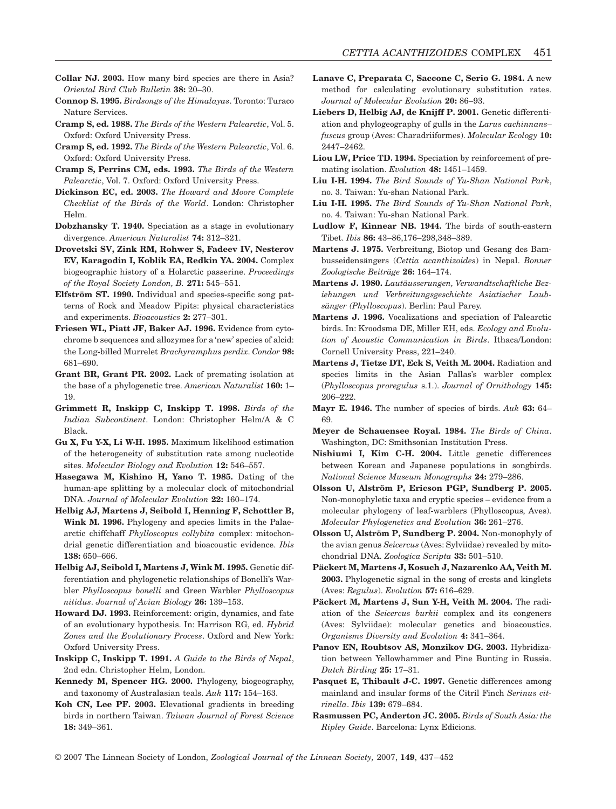- **Collar NJ. 2003.** How many bird species are there in Asia? *Oriental Bird Club Bulletin* **38:** 20–30.
- **Connop S. 1995.** *Birdsongs of the Himalayas*. Toronto: Turaco Nature Services.
- **Cramp S, ed. 1988.** *The Birds of the Western Palearctic*, Vol. 5. Oxford: Oxford University Press.
- **Cramp S, ed. 1992.** *The Birds of the Western Palearctic*, Vol. 6. Oxford: Oxford University Press.
- **Cramp S, Perrins CM, eds. 1993.** *The Birds of the Western Palearctic*, Vol. 7. Oxford: Oxford University Press.
- **Dickinson EC, ed. 2003.** *The Howard and Moore Complete Checklist of the Birds of the World*. London: Christopher Helm.
- **Dobzhansky T. 1940.** Speciation as a stage in evolutionary divergence. *American Naturalist* **74:** 312–321.
- **Drovetski SV, Zink RM, Rohwer S, Fadeev IV, Nesterov EV, Karagodin I, Koblik EA, Redkin YA. 2004.** Complex biogeographic history of a Holarctic passerine. *Proceedings of the Royal Society London, B.* **271:** 545–551.
- **Elfström ST. 1990.** Individual and species-specific song patterns of Rock and Meadow Pipits: physical characteristics and experiments. *Bioacoustics* **2:** 277–301.
- **Friesen WL, Piatt JF, Baker AJ. 1996.** Evidence from cytochrome b sequences and allozymes for a 'new' species of alcid: the Long-billed Murrelet *Brachyramphus perdix*. *Condor* **98:** 681–690.
- **Grant BR, Grant PR. 2002.** Lack of premating isolation at the base of a phylogenetic tree. *American Naturalist* **160:** 1– 19.
- **Grimmett R, Inskipp C, Inskipp T. 1998.** *Birds of the Indian Subcontinent*. London: Christopher Helm/A & C Black.
- **Gu X, Fu Y-X, Li W-H. 1995.** Maximum likelihood estimation of the heterogeneity of substitution rate among nucleotide sites. *Molecular Biology and Evolution* **12:** 546–557.
- **Hasegawa M, Kishino H, Yano T. 1985.** Dating of the human-ape splitting by a molecular clock of mitochondrial DNA. *Journal of Molecular Evolution* **22:** 160–174.
- **Helbig AJ, Martens J, Seibold I, Henning F, Schottler B, Wink M. 1996.** Phylogeny and species limits in the Palaearctic chiffchaff *Phylloscopus collybita* complex: mitochondrial genetic differentiation and bioacoustic evidence. *Ibis* **138:** 650–666.
- **Helbig AJ, Seibold I, Martens J, Wink M. 1995.** Genetic differentiation and phylogenetic relationships of Bonelli's Warbler *Phylloscopus bonelli* and Green Warbler *Phylloscopus nitidus*. *Journal of Avian Biology* **26:** 139–153.
- **Howard DJ. 1993.** Reinforcement: origin, dynamics, and fate of an evolutionary hypothesis. In: Harrison RG, ed. *Hybrid Zones and the Evolutionary Process*. Oxford and New York: Oxford University Press.
- **Inskipp C, Inskipp T. 1991.** *A Guide to the Birds of Nepal*, 2nd edn. Christopher Helm, London.
- **Kennedy M, Spencer HG. 2000.** Phylogeny, biogeography, and taxonomy of Australasian teals. *Auk* **117:** 154–163.
- **Koh CN, Lee PF. 2003.** Elevational gradients in breeding birds in northern Taiwan. *Taiwan Journal of Forest Science* **18:** 349–361.
- **Lanave C, Preparata C, Saccone C, Serio G. 1984.** A new method for calculating evolutionary substitution rates. *Journal of Molecular Evolution* **20:** 86–93.
- **Liebers D, Helbig AJ, de Knijff P. 2001.** Genetic differentiation and phylogeography of gulls in the *Larus cachinnans– fuscus* group (Aves: Charadriiformes). *Molecular Ecology* **10:** 2447–2462.
- **Liou LW, Price TD. 1994.** Speciation by reinforcement of premating isolation. *Evolution* **48:** 1451–1459.
- **Liu I-H. 1994.** *The Bird Sounds of Yu-Shan National Park*, no. 3. Taiwan: Yu-shan National Park.
- **Liu I-H. 1995.** *The Bird Sounds of Yu-Shan National Park*, no. 4. Taiwan: Yu-shan National Park.
- **Ludlow F, Kinnear NB. 1944.** The birds of south-eastern Tibet. *Ibis* **86:** 43–86,176–298,348–389.
- **Martens J. 1975.** Verbreitung, Biotop und Gesang des Bambusseidensängers (*Cettia acanthizoides*) in Nepal. *Bonner Zoologische Beiträge* **26:** 164–174.
- **Martens J. 1980.** *Lautäusserungen, Verwandtschaftliche Beziehungen und Verbreitungsgeschichte Asiatischer Laubsänger (Phylloscopus*). Berlin: Paul Parey.
- **Martens J. 1996.** Vocalizations and speciation of Palearctic birds. In: Kroodsma DE, Miller EH, eds. *Ecology and Evolution of Acoustic Communication in Birds*. Ithaca/London: Cornell University Press, 221–240.
- **Martens J, Tietze DT, Eck S, Veith M. 2004.** Radiation and species limits in the Asian Pallas's warbler complex (*Phylloscopus proregulus* s.1.). *Journal of Ornithology* **145:** 206–222.
- **Mayr E. 1946.** The number of species of birds. *Auk* **63:** 64– 69.
- **Meyer de Schauensee Royal. 1984.** *The Birds of China*. Washington, DC: Smithsonian Institution Press.
- **Nishiumi I, Kim C-H. 2004.** Little genetic differences between Korean and Japanese populations in songbirds. *National Science Museum Monographs* **24:** 279–286.
- **Olsson U, Alström P, Ericson PGP, Sundberg P. 2005.** Non-monophyletic taxa and cryptic species – evidence from a molecular phylogeny of leaf-warblers (Phylloscopus, Aves). *Molecular Phylogenetics and Evolution* **36:** 261–276.
- **Olsson U, Alström P, Sundberg P. 2004.** Non-monophyly of the avian genus *Seicercus* (Aves: Sylviidae) revealed by mitochondrial DNA. *Zoologica Scripta* **33:** 501–510.
- **Päckert M, Martens J, Kosuch J, Nazarenko AA, Veith M. 2003.** Phylogenetic signal in the song of crests and kinglets (Aves: *Regulus*). *Evolution* **57:** 616–629.
- Päckert M, Martens J, Sun Y-H, Veith M. 2004. The radiation of the *Seicercus burkii* complex and its congeners (Aves: Sylviidae): molecular genetics and bioacoustics. *Organisms Diversity and Evolution* **4:** 341–364.
- **Panov EN, Roubtsov AS, Monzikov DG. 2003.** Hybridization between Yellowhammer and Pine Bunting in Russia. *Dutch Birding* **25:** 17–31.
- Pasquet E. Thibault J-C. 1997. Genetic differences among mainland and insular forms of the Citril Finch *Serinus citrinella*. *Ibis* **139:** 679–684.
- **Rasmussen PC, Anderton JC. 2005.** *Birds of South Asia: the Ripley Guide*. Barcelona: Lynx Edicions.